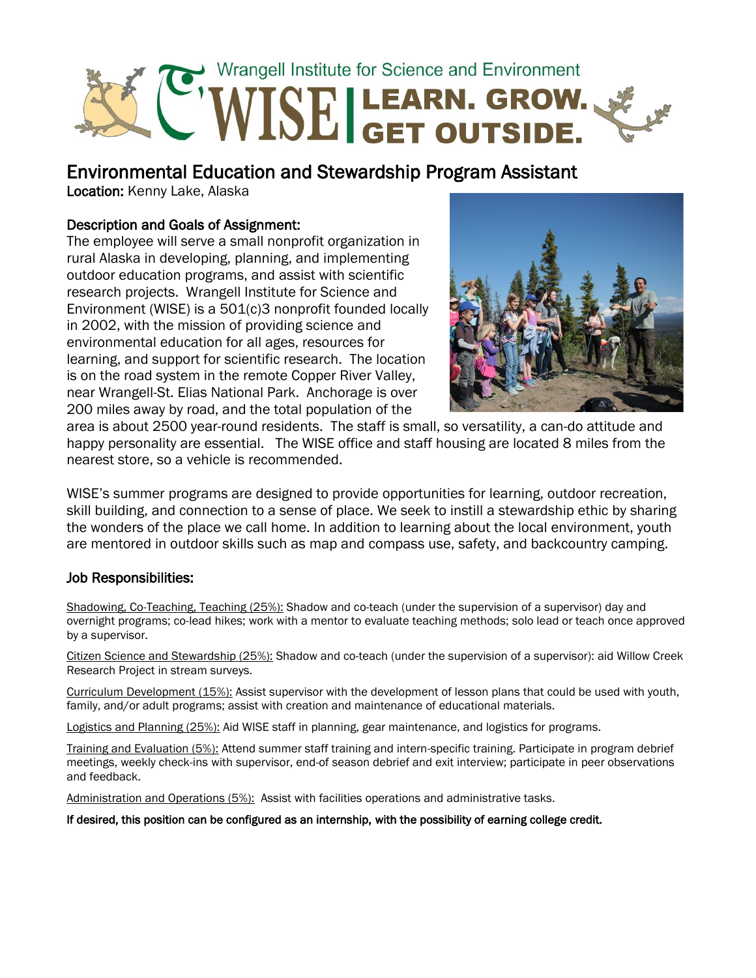

Environmental Education and Stewardship Program Assistant

Location: Kenny Lake, Alaska

# Description and Goals of Assignment:

The employee will serve a small nonprofit organization in rural Alaska in developing, planning, and implementing outdoor education programs, and assist with scientific research projects. Wrangell Institute for Science and Environment (WISE) is a 501(c)3 nonprofit founded locally in 2002, with the mission of providing science and environmental education for all ages, resources for learning, and support for scientific research. The location is on the road system in the remote Copper River Valley, near Wrangell-St. Elias National Park. Anchorage is over 200 miles away by road, and the total population of the



area is about 2500 year-round residents. The staff is small, so versatility, a can-do attitude and happy personality are essential. The WISE office and staff housing are located 8 miles from the nearest store, so a vehicle is recommended.

WISE's summer programs are designed to provide opportunities for learning, outdoor recreation, skill building, and connection to a sense of place. We seek to instill a stewardship ethic by sharing the wonders of the place we call home. In addition to learning about the local environment, youth are mentored in outdoor skills such as map and compass use, safety, and backcountry camping.

## Job Responsibilities:

Shadowing, Co-Teaching, Teaching (25%): Shadow and co-teach (under the supervision of a supervisor) day and overnight programs; co-lead hikes; work with a mentor to evaluate teaching methods; solo lead or teach once approved by a supervisor.

Citizen Science and Stewardship (25%): Shadow and co-teach (under the supervision of a supervisor): aid Willow Creek Research Project in stream surveys.

Curriculum Development (15%): Assist supervisor with the development of lesson plans that could be used with youth, family, and/or adult programs; assist with creation and maintenance of educational materials.

Logistics and Planning (25%): Aid WISE staff in planning, gear maintenance, and logistics for programs.

Training and Evaluation (5%): Attend summer staff training and intern-specific training. Participate in program debrief meetings, weekly check-ins with supervisor, end-of season debrief and exit interview; participate in peer observations and feedback.

Administration and Operations (5%): Assist with facilities operations and administrative tasks.

If desired, this position can be configured as an internship, with the possibility of earning college credit.